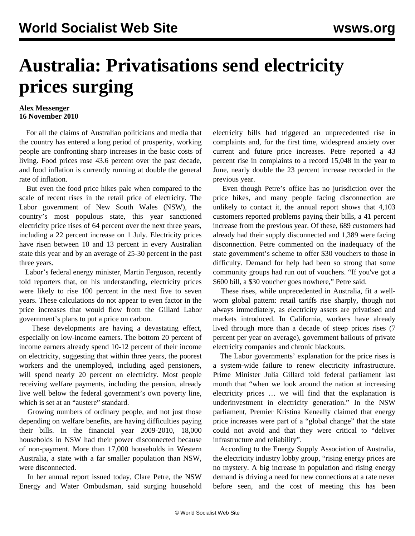## **Australia: Privatisations send electricity prices surging**

## **Alex Messenger 16 November 2010**

 For all the claims of Australian politicians and media that the country has entered a long period of prosperity, working people are confronting sharp increases in the basic costs of living. Food prices rose 43.6 percent over the past decade, and food inflation is currently running at double the general rate of inflation.

 But even the food price hikes pale when compared to the scale of recent rises in the retail price of electricity. The Labor government of New South Wales (NSW), the country's most populous state, this year sanctioned electricity price rises of 64 percent over the next three years, including a 22 percent increase on 1 July. Electricity prices have risen between 10 and 13 percent in every Australian state this year and by an average of 25-30 percent in the past three years.

 Labor's federal energy minister, Martin Ferguson, recently told reporters that, on his understanding, electricity prices were likely to rise 100 percent in the next five to seven years. These calculations do not appear to even factor in the price increases that would flow from the Gillard Labor government's plans to put a price on carbon.

 These developments are having a devastating effect, especially on low-income earners. The bottom 20 percent of income earners already spend 10-12 percent of their income on electricity, suggesting that within three years, the poorest workers and the unemployed, including aged pensioners, will spend nearly 20 percent on electricity. Most people receiving welfare payments, including the pension, already live well below the federal government's own poverty line, which is set at an "austere" standard.

 Growing numbers of ordinary people, and not just those depending on welfare benefits, are having difficulties paying their bills. In the financial year 2009-2010, 18,000 households in NSW had their power disconnected because of non-payment. More than 17,000 households in Western Australia, a state with a far smaller population than NSW, were disconnected.

 In her annual report issued today, Clare Petre, the NSW Energy and Water Ombudsman, said surging household electricity bills had triggered an unprecedented rise in complaints and, for the first time, widespread anxiety over current and future price increases. Petre reported a 43 percent rise in complaints to a record 15,048 in the year to June, nearly double the 23 percent increase recorded in the previous year.

 Even though Petre's office has no jurisdiction over the price hikes, and many people facing disconnection are unlikely to contact it, the annual report shows that 4,103 customers reported problems paying their bills, a 41 percent increase from the previous year. Of these, 689 customers had already had their supply disconnected and 1,389 were facing disconnection. Petre commented on the inadequacy of the state government's scheme to offer \$30 vouchers to those in difficulty. Demand for help had been so strong that some community groups had run out of vouchers. "If you've got a \$600 bill, a \$30 voucher goes nowhere," Petre said.

 These rises, while unprecedented in Australia, fit a wellworn global pattern: retail tariffs rise sharply, though not always immediately, as electricity assets are privatised and markets introduced. In California, workers have already lived through more than a decade of steep prices rises (7 percent per year on average), government bailouts of private electricity companies and chronic blackouts.

 The Labor governments' explanation for the price rises is a system-wide failure to renew electricity infrastructure. Prime Minister Julia Gillard told federal parliament last month that "when we look around the nation at increasing electricity prices … we will find that the explanation is underinvestment in electricity generation." In the NSW parliament, Premier Kristina Keneally claimed that energy price increases were part of a "global change" that the state could not avoid and that they were critical to "deliver infrastructure and reliability".

 According to the Energy Supply Association of Australia, the electricity industry lobby group, "rising energy prices are no mystery. A big increase in population and rising energy demand is driving a need for new connections at a rate never before seen, and the cost of meeting this has been